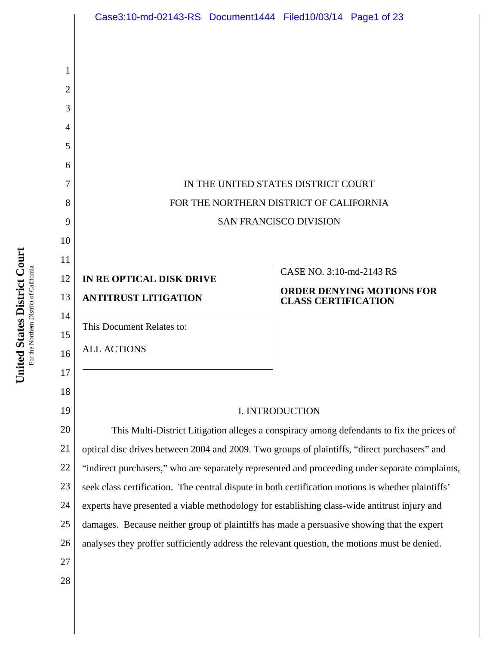|          | Case3:10-md-02143-RS Document1444 Filed10/03/14 Page1 of 23                                                                                                                                     |                            |                                  |
|----------|-------------------------------------------------------------------------------------------------------------------------------------------------------------------------------------------------|----------------------------|----------------------------------|
|          |                                                                                                                                                                                                 |                            |                                  |
| 1        |                                                                                                                                                                                                 |                            |                                  |
| 2        |                                                                                                                                                                                                 |                            |                                  |
| 3        |                                                                                                                                                                                                 |                            |                                  |
| 4        |                                                                                                                                                                                                 |                            |                                  |
| 5        |                                                                                                                                                                                                 |                            |                                  |
| 6        |                                                                                                                                                                                                 |                            |                                  |
| 7        | IN THE UNITED STATES DISTRICT COURT                                                                                                                                                             |                            |                                  |
| 8        | FOR THE NORTHERN DISTRICT OF CALIFORNIA                                                                                                                                                         |                            |                                  |
| 9        | <b>SAN FRANCISCO DIVISION</b>                                                                                                                                                                   |                            |                                  |
| 10       |                                                                                                                                                                                                 |                            |                                  |
| 11       |                                                                                                                                                                                                 | CASE NO. 3:10-md-2143 RS   |                                  |
| 12       | IN RE OPTICAL DISK DRIVE                                                                                                                                                                        |                            |                                  |
| 13       | <b>ANTITRUST LITIGATION</b>                                                                                                                                                                     | <b>CLASS CERTIFICATION</b> | <b>ORDER DENYING MOTIONS FOR</b> |
| 14       | This Document Relates to:                                                                                                                                                                       |                            |                                  |
| 15       | <b>ALL ACTIONS</b>                                                                                                                                                                              |                            |                                  |
| 16       |                                                                                                                                                                                                 |                            |                                  |
| 17       |                                                                                                                                                                                                 |                            |                                  |
| 18       |                                                                                                                                                                                                 |                            |                                  |
| 19       | I. INTRODUCTION                                                                                                                                                                                 |                            |                                  |
| 20       | This Multi-District Litigation alleges a conspiracy among defendants to fix the prices of                                                                                                       |                            |                                  |
| 21<br>22 | optical disc drives between 2004 and 2009. Two groups of plaintiffs, "direct purchasers" and<br>"indirect purchasers," who are separately represented and proceeding under separate complaints, |                            |                                  |
| 23       | seek class certification. The central dispute in both certification motions is whether plaintiffs'                                                                                              |                            |                                  |
| 24       | experts have presented a viable methodology for establishing class-wide antitrust injury and                                                                                                    |                            |                                  |
| 25       | damages. Because neither group of plaintiffs has made a persuasive showing that the expert                                                                                                      |                            |                                  |
| 26       | analyses they proffer sufficiently address the relevant question, the motions must be denied.                                                                                                   |                            |                                  |
| 27       |                                                                                                                                                                                                 |                            |                                  |
| 28       |                                                                                                                                                                                                 |                            |                                  |
|          |                                                                                                                                                                                                 |                            |                                  |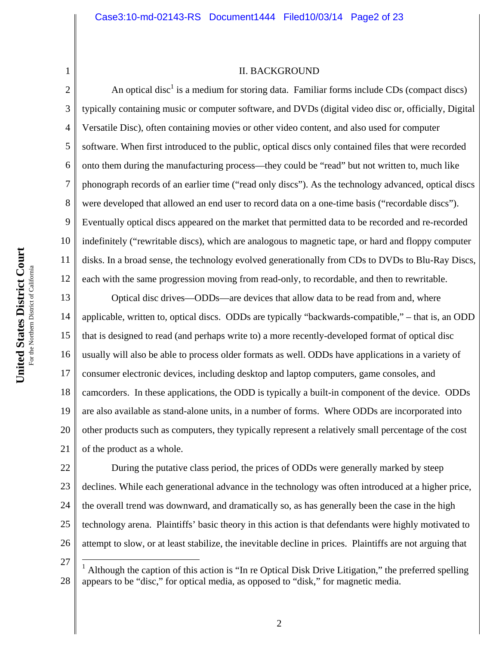#### II. BACKGROUND

An optical disc<sup>1</sup> is a medium for storing data. Familiar forms include CDs (compact discs) typically containing music or computer software, and DVDs (digital video disc or, officially, Digital Versatile Disc), often containing movies or other video content, and also used for computer software. When first introduced to the public, optical discs only contained files that were recorded onto them during the manufacturing process—they could be "read" but not written to, much like phonograph records of an earlier time ("read only discs"). As the technology advanced, optical discs were developed that allowed an end user to record data on a one-time basis ("recordable discs"). Eventually optical discs appeared on the market that permitted data to be recorded and re-recorded indefinitely ("rewritable discs), which are analogous to magnetic tape, or hard and floppy computer disks. In a broad sense, the technology evolved generationally from CDs to DVDs to Blu-Ray Discs, each with the same progression moving from read-only, to recordable, and then to rewritable.

13 14 15 16 17 18 19 20 21 Optical disc drives—ODDs—are devices that allow data to be read from and, where applicable, written to, optical discs. ODDs are typically "backwards-compatible," – that is, an ODD that is designed to read (and perhaps write to) a more recently-developed format of optical disc usually will also be able to process older formats as well. ODDs have applications in a variety of consumer electronic devices, including desktop and laptop computers, game consoles, and camcorders. In these applications, the ODD is typically a built-in component of the device. ODDs are also available as stand-alone units, in a number of forms. Where ODDs are incorporated into other products such as computers, they typically represent a relatively small percentage of the cost of the product as a whole.

22 23 24 25 26 During the putative class period, the prices of ODDs were generally marked by steep declines. While each generational advance in the technology was often introduced at a higher price, the overall trend was downward, and dramatically so, as has generally been the case in the high technology arena. Plaintiffs' basic theory in this action is that defendants were highly motivated to attempt to slow, or at least stabilize, the inevitable decline in prices. Plaintiffs are not arguing that

27

 $\overline{a}$ 

1

2

3

4

5

6

7

8

9

10

11

<sup>28</sup> <sup>1</sup> Although the caption of this action is "In re Optical Disk Drive Litigation," the preferred spelling appears to be "disc," for optical media, as opposed to "disk," for magnetic media.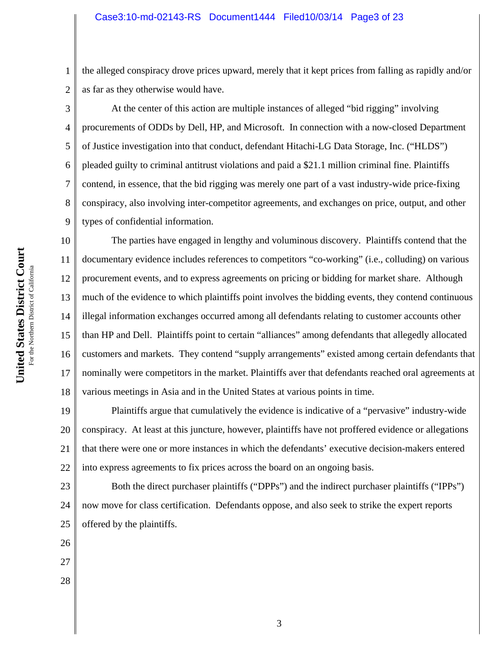the alleged conspiracy drove prices upward, merely that it kept prices from falling as rapidly and/or as far as they otherwise would have.

 At the center of this action are multiple instances of alleged "bid rigging" involving procurements of ODDs by Dell, HP, and Microsoft. In connection with a now-closed Department of Justice investigation into that conduct, defendant Hitachi-LG Data Storage, Inc. ("HLDS") pleaded guilty to criminal antitrust violations and paid a \$21.1 million criminal fine. Plaintiffs contend, in essence, that the bid rigging was merely one part of a vast industry-wide price-fixing conspiracy, also involving inter-competitor agreements, and exchanges on price, output, and other types of confidential information.

10 11 12 13 14 15 16 17 18 The parties have engaged in lengthy and voluminous discovery. Plaintiffs contend that the documentary evidence includes references to competitors "co-working" (i.e., colluding) on various procurement events, and to express agreements on pricing or bidding for market share. Although much of the evidence to which plaintiffs point involves the bidding events, they contend continuous illegal information exchanges occurred among all defendants relating to customer accounts other than HP and Dell. Plaintiffs point to certain "alliances" among defendants that allegedly allocated customers and markets. They contend "supply arrangements" existed among certain defendants that nominally were competitors in the market. Plaintiffs aver that defendants reached oral agreements at various meetings in Asia and in the United States at various points in time.

19 20 21 22 Plaintiffs argue that cumulatively the evidence is indicative of a "pervasive" industry-wide conspiracy. At least at this juncture, however, plaintiffs have not proffered evidence or allegations that there were one or more instances in which the defendants' executive decision-makers entered into express agreements to fix prices across the board on an ongoing basis.

23 24 Both the direct purchaser plaintiffs ("DPPs") and the indirect purchaser plaintiffs ("IPPs") now move for class certification. Defendants oppose, and also seek to strike the expert reports offered by the plaintiffs.

25 26

27

28

**Court** For the Northern District of California For the Northern District of Californi **States District United** 

1

2

3

4

5

6

7

8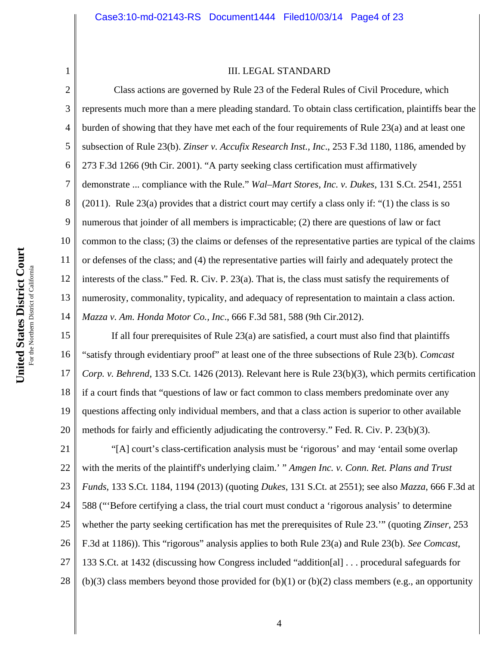#### III. LEGAL STANDARD

2 3 4 5 6 7 8 9 10 11 12 13 14 Class actions are governed by Rule 23 of the Federal Rules of Civil Procedure, which represents much more than a mere pleading standard. To obtain class certification, plaintiffs bear the burden of showing that they have met each of the four requirements of Rule 23(a) and at least one subsection of Rule 23(b). *Zinser v. Accufix Research Inst., Inc*., 253 F.3d 1180, 1186, amended by 273 F.3d 1266 (9th Cir. 2001). "A party seeking class certification must affirmatively demonstrate ... compliance with the Rule." *Wal–Mart Stores, Inc. v. Dukes*, 131 S.Ct. 2541, 2551 (2011). Rule 23(a) provides that a district court may certify a class only if: "(1) the class is so numerous that joinder of all members is impracticable; (2) there are questions of law or fact common to the class; (3) the claims or defenses of the representative parties are typical of the claims or defenses of the class; and (4) the representative parties will fairly and adequately protect the interests of the class." Fed. R. Civ. P. 23(a). That is, the class must satisfy the requirements of numerosity, commonality, typicality, and adequacy of representation to maintain a class action. *Mazza v. Am. Honda Motor Co., Inc*., 666 F.3d 581, 588 (9th Cir.2012).

15 16 17 18 19 20 If all four prerequisites of Rule 23(a) are satisfied, a court must also find that plaintiffs "satisfy through evidentiary proof" at least one of the three subsections of Rule 23(b). *Comcast Corp. v. Behrend*, 133 S.Ct. 1426 (2013). Relevant here is Rule 23(b)(3), which permits certification if a court finds that "questions of law or fact common to class members predominate over any questions affecting only individual members, and that a class action is superior to other available methods for fairly and efficiently adjudicating the controversy." Fed. R. Civ. P. 23(b)(3).

21 22 23 24 25 26 27 28 "[A] court's class-certification analysis must be 'rigorous' and may 'entail some overlap with the merits of the plaintiff's underlying claim.' " *Amgen Inc. v. Conn. Ret. Plans and Trust Funds*, 133 S.Ct. 1184, 1194 (2013) (quoting *Dukes*, 131 S.Ct. at 2551); see also *Mazza*, 666 F.3d at 588 ("'Before certifying a class, the trial court must conduct a 'rigorous analysis' to determine whether the party seeking certification has met the prerequisites of Rule 23.'" (quoting *Zinser*, 253 F.3d at 1186)). This "rigorous" analysis applies to both Rule 23(a) and Rule 23(b). *See Comcast*, 133 S.Ct. at 1432 (discussing how Congress included "addition[al] . . . procedural safeguards for  $(b)(3)$  class members beyond those provided for  $(b)(1)$  or  $(b)(2)$  class members (e.g., an opportunity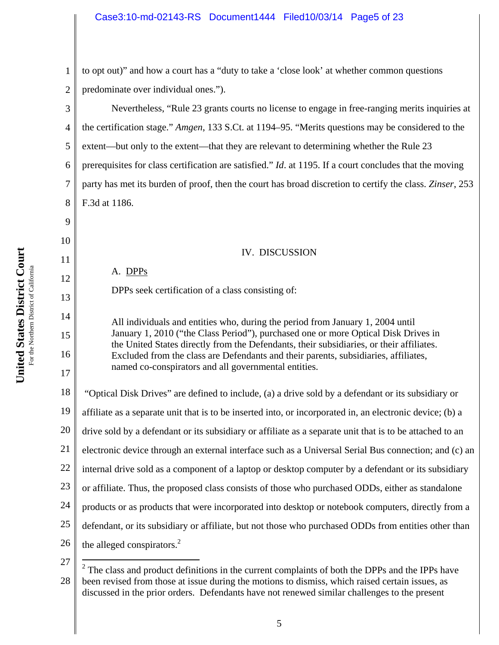1 2 to opt out)" and how a court has a "duty to take a 'close look' at whether common questions predominate over individual ones.").

Nevertheless, "Rule 23 grants courts no license to engage in free-ranging merits inquiries at the certification stage." *Amgen*, 133 S.Ct. at 1194–95. "Merits questions may be considered to the extent—but only to the extent—that they are relevant to determining whether the Rule 23 prerequisites for class certification are satisfied." *Id*. at 1195. If a court concludes that the moving party has met its burden of proof, then the court has broad discretion to certify the class. *Zinser*, 253 F.3d at 1186.

# IV. DISCUSSION

A. DPPs

DPPs seek certification of a class consisting of:

All individuals and entities who, during the period from January 1, 2004 until January 1, 2010 ("the Class Period"), purchased one or more Optical Disk Drives in the United States directly from the Defendants, their subsidiaries, or their affiliates. Excluded from the class are Defendants and their parents, subsidiaries, affiliates, named co-conspirators and all governmental entities.

18 19 20 21 22 23 24 25 26 "Optical Disk Drives" are defined to include, (a) a drive sold by a defendant or its subsidiary or affiliate as a separate unit that is to be inserted into, or incorporated in, an electronic device; (b) a drive sold by a defendant or its subsidiary or affiliate as a separate unit that is to be attached to an electronic device through an external interface such as a Universal Serial Bus connection; and (c) an internal drive sold as a component of a laptop or desktop computer by a defendant or its subsidiary or affiliate. Thus, the proposed class consists of those who purchased ODDs, either as standalone products or as products that were incorporated into desktop or notebook computers, directly from a defendant, or its subsidiary or affiliate, but not those who purchased ODDs from entities other than the alleged conspirators.<sup>2</sup>

27

 $\overline{a}$ 

3

4

5

6

7

8

9

10

11

12

13

14

15

16

17

<sup>28</sup>  $2$  The class and product definitions in the current complaints of both the DPPs and the IPPs have been revised from those at issue during the motions to dismiss, which raised certain issues, as discussed in the prior orders. Defendants have not renewed similar challenges to the present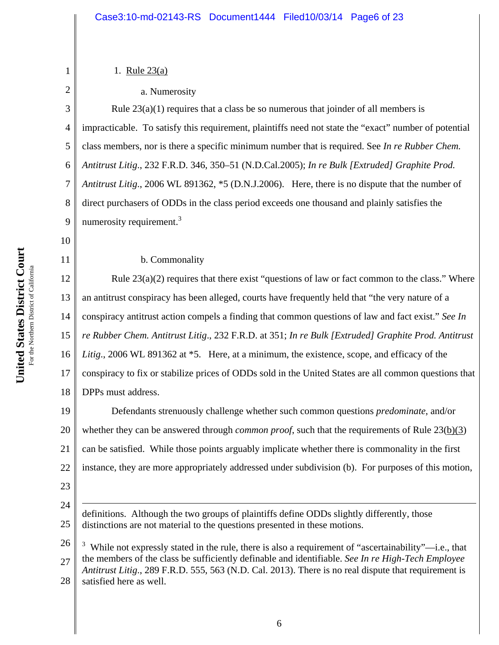**Court** For the Northern District of California For the Northern District of Californi **States District United** 

## 1. Rule 23(a)

1

2

3

4

5

6

7

8

9

10

11

#### a. Numerosity

Rule  $23(a)(1)$  requires that a class be so numerous that joinder of all members is impracticable. To satisfy this requirement, plaintiffs need not state the "exact" number of potential class members, nor is there a specific minimum number that is required. See *In re Rubber Chem. Antitrust Litig*., 232 F.R.D. 346, 350–51 (N.D.Cal.2005); *In re Bulk [Extruded] Graphite Prod. Antitrust Litig*., 2006 WL 891362, \*5 (D.N.J.2006). Here, there is no dispute that the number of direct purchasers of ODDs in the class period exceeds one thousand and plainly satisfies the numerosity requirement.<sup>3</sup>

b. Commonality

12 13 14 15 16 17 18 Rule  $23(a)(2)$  requires that there exist "questions of law or fact common to the class." Where an antitrust conspiracy has been alleged, courts have frequently held that "the very nature of a conspiracy antitrust action compels a finding that common questions of law and fact exist." *See In re Rubber Chem. Antitrust Litig*., 232 F.R.D. at 351; *In re Bulk [Extruded] Graphite Prod. Antitrust Litig*., 2006 WL 891362 at \*5. Here, at a minimum, the existence, scope, and efficacy of the conspiracy to fix or stabilize prices of ODDs sold in the United States are all common questions that DPPs must address.

19 20 21 22 Defendants strenuously challenge whether such common questions *predominate*, and/or whether they can be answered through *common proof*, such that the requirements of Rule 23(b)(3) can be satisfied. While those points arguably implicate whether there is commonality in the first instance, they are more appropriately addressed under subdivision (b). For purposes of this motion,

23

 $\overline{a}$ 

24 25 definitions. Although the two groups of plaintiffs define ODDs slightly differently, those distinctions are not material to the questions presented in these motions.

26 27 28  $3$  While not expressly stated in the rule, there is also a requirement of "ascertainability"—i.e., that the members of the class be sufficiently definable and identifiable. *See In re High-Tech Employee Antitrust Litig*., 289 F.R.D. 555, 563 (N.D. Cal. 2013). There is no real dispute that requirement is satisfied here as well.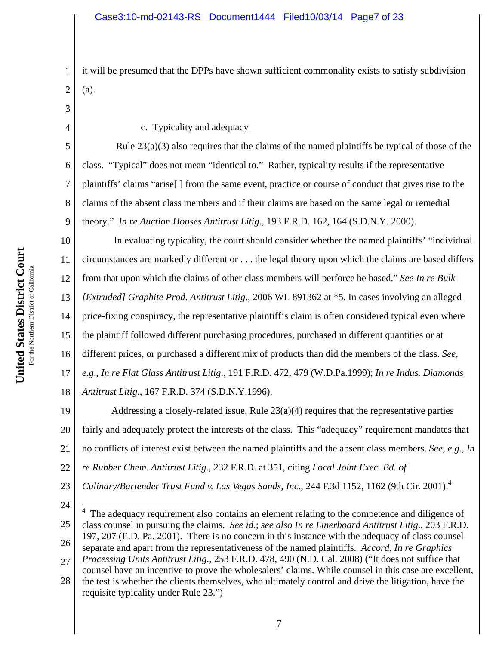1 2 it will be presumed that the DPPs have shown sufficient commonality exists to satisfy subdivision (a).

3

4

5

6

7

8

9

#### c. Typicality and adequacy

Rule  $23(a)(3)$  also requires that the claims of the named plaintiffs be typical of those of the class. "Typical" does not mean "identical to." Rather, typicality results if the representative plaintiffs' claims "arise[ ] from the same event, practice or course of conduct that gives rise to the claims of the absent class members and if their claims are based on the same legal or remedial theory." *In re Auction Houses Antitrust Litig*., 193 F.R.D. 162, 164 (S.D.N.Y. 2000).

10 11 12 13 14 15 16 17 18 In evaluating typicality, the court should consider whether the named plaintiffs' "individual circumstances are markedly different or . . . the legal theory upon which the claims are based differs from that upon which the claims of other class members will perforce be based." *See In re Bulk [Extruded] Graphite Prod. Antitrust Litig*., 2006 WL 891362 at \*5. In cases involving an alleged price-fixing conspiracy, the representative plaintiff's claim is often considered typical even where the plaintiff followed different purchasing procedures, purchased in different quantities or at different prices, or purchased a different mix of products than did the members of the class. *See*, *e.g*., *In re Flat Glass Antitrust Litig*., 191 F.R.D. 472, 479 (W.D.Pa.1999); *In re Indus. Diamonds Antitrust Litig*., 167 F.R.D. 374 (S.D.N.Y.1996).

19 20 21 22 23 Addressing a closely-related issue, Rule 23(a)(4) requires that the representative parties fairly and adequately protect the interests of the class. This "adequacy" requirement mandates that no conflicts of interest exist between the named plaintiffs and the absent class members. *See*, *e.g*., *In re Rubber Chem. Antitrust Litig*., 232 F.R.D. at 351, citing *Local Joint Exec. Bd. of Culinary/Bartender Trust Fund v. Las Vegas Sands, Inc.*, 244 F.3d 1152, 1162 (9th Cir. 2001).4

24

25 26 27 4 The adequacy requirement also contains an element relating to the competence and diligence of class counsel in pursuing the claims. *See id*.; *see also In re Linerboard Antitrust Litig*., 203 F.R.D. 197, 207 (E.D. Pa. 2001). There is no concern in this instance with the adequacy of class counsel separate and apart from the representativeness of the named plaintiffs. *Accord*, *In re Graphics Processing Units Antitrust Litig.,* 253 F.R.D. 478, 490 (N.D. Cal. 2008) ("It does not suffice that

28 counsel have an incentive to prove the wholesalers' claims. While counsel in this case are excellent, the test is whether the clients themselves, who ultimately control and drive the litigation, have the requisite typicality under Rule 23.")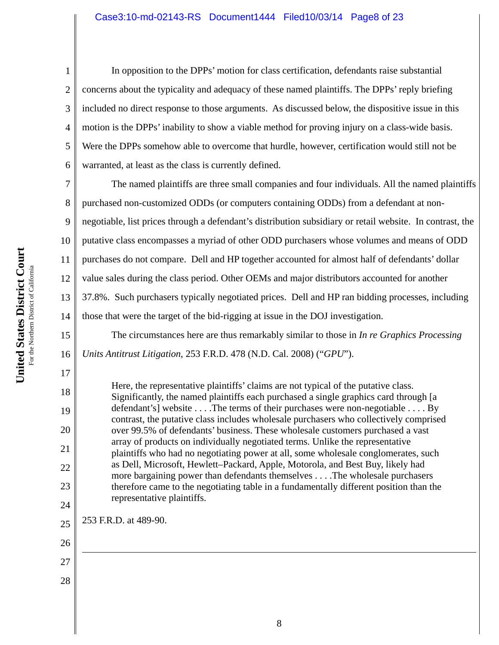In opposition to the DPPs' motion for class certification, defendants raise substantial concerns about the typicality and adequacy of these named plaintiffs. The DPPs' reply briefing included no direct response to those arguments. As discussed below, the dispositive issue in this motion is the DPPs' inability to show a viable method for proving injury on a class-wide basis. Were the DPPs somehow able to overcome that hurdle, however, certification would still not be warranted, at least as the class is currently defined.

7 8 9 10 13 14 The named plaintiffs are three small companies and four individuals. All the named plaintiffs purchased non-customized ODDs (or computers containing ODDs) from a defendant at nonnegotiable, list prices through a defendant's distribution subsidiary or retail website. In contrast, the putative class encompasses a myriad of other ODD purchasers whose volumes and means of ODD purchases do not compare. Dell and HP together accounted for almost half of defendants' dollar value sales during the class period. Other OEMs and major distributors accounted for another 37.8%. Such purchasers typically negotiated prices. Dell and HP ran bidding processes, including those that were the target of the bid-rigging at issue in the DOJ investigation.

 The circumstances here are thus remarkably similar to those in *In re Graphics Processing Units Antitrust Litigation*, 253 F.R.D. 478 (N.D. Cal. 2008) ("*GPU*").

Here, the representative plaintiffs' claims are not typical of the putative class. Significantly, the named plaintiffs each purchased a single graphics card through [a defendant's] website . . . .The terms of their purchases were non-negotiable . . . . By contrast, the putative class includes wholesale purchasers who collectively comprised over 99.5% of defendants' business. These wholesale customers purchased a vast array of products on individually negotiated terms. Unlike the representative plaintiffs who had no negotiating power at all, some wholesale conglomerates, such as Dell, Microsoft, Hewlett–Packard, Apple, Motorola, and Best Buy, likely had more bargaining power than defendants themselves . . . .The wholesale purchasers therefore came to the negotiating table in a fundamentally different position than the representative plaintiffs.

253 F.R.D. at 489-90.

1

2

3

4

5

6

11

12

15

16

17

18

19

20

21

22

23

24

25

26

 $\overline{a}$ 

27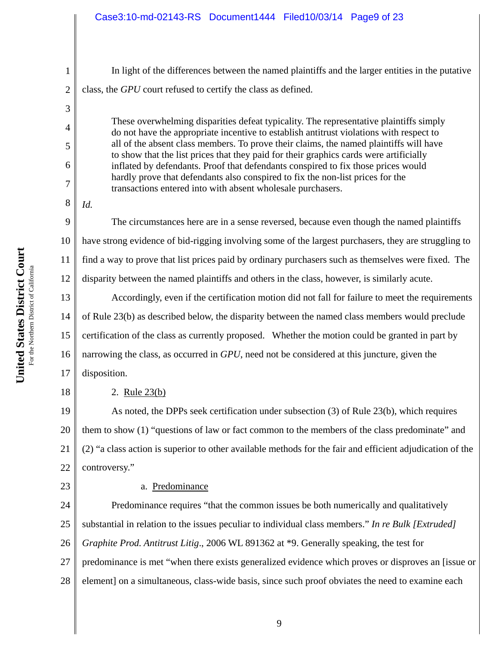In light of the differences between the named plaintiffs and the larger entities in the putative class, the *GPU* court refused to certify the class as defined.

These overwhelming disparities defeat typicality. The representative plaintiffs simply do not have the appropriate incentive to establish antitrust violations with respect to all of the absent class members. To prove their claims, the named plaintiffs will have to show that the list prices that they paid for their graphics cards were artificially inflated by defendants. Proof that defendants conspired to fix those prices would hardly prove that defendants also conspired to fix the non-list prices for the transactions entered into with absent wholesale purchasers.

*Id.*

1

2

3

4

5

6

7

8

11

12

9 10 The circumstances here are in a sense reversed, because even though the named plaintiffs have strong evidence of bid-rigging involving some of the largest purchasers, they are struggling to find a way to prove that list prices paid by ordinary purchasers such as themselves were fixed. The disparity between the named plaintiffs and others in the class, however, is similarly acute.

13 14 15 16 17 Accordingly, even if the certification motion did not fall for failure to meet the requirements of Rule 23(b) as described below, the disparity between the named class members would preclude certification of the class as currently proposed. Whether the motion could be granted in part by narrowing the class, as occurred in *GPU*, need not be considered at this juncture, given the disposition.

2. Rule 23(b)

19 20 21 22 As noted, the DPPs seek certification under subsection (3) of Rule 23(b), which requires them to show (1) "questions of law or fact common to the members of the class predominate" and (2) "a class action is superior to other available methods for the fair and efficient adjudication of the controversy."

23

18

# a. Predominance

24 25 26 27 28 Predominance requires "that the common issues be both numerically and qualitatively substantial in relation to the issues peculiar to individual class members." *In re Bulk [Extruded] Graphite Prod. Antitrust Litig*., 2006 WL 891362 at \*9. Generally speaking, the test for predominance is met "when there exists generalized evidence which proves or disproves an [issue or element] on a simultaneous, class-wide basis, since such proof obviates the need to examine each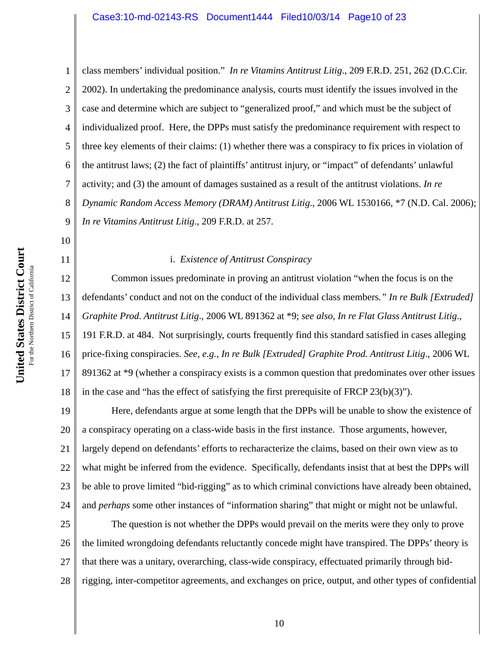1 2 3 4 5 6 7 8 9 class members' individual position." *In re Vitamins Antitrust Litig*., 209 F.R.D. 251, 262 (D.C.Cir. 2002). In undertaking the predominance analysis, courts must identify the issues involved in the case and determine which are subject to "generalized proof," and which must be the subject of individualized proof. Here, the DPPs must satisfy the predominance requirement with respect to three key elements of their claims: (1) whether there was a conspiracy to fix prices in violation of the antitrust laws; (2) the fact of plaintiffs' antitrust injury, or "impact" of defendants' unlawful activity; and (3) the amount of damages sustained as a result of the antitrust violations. *In re Dynamic Random Access Memory (DRAM) Antitrust Litig*., 2006 WL 1530166, \*7 (N.D. Cal. 2006); *In re Vitamins Antitrust Litig*., 209 F.R.D. at 257.

# i. *Existence of Antitrust Conspiracy*

12 13 14 15 16 17 18 Common issues predominate in proving an antitrust violation "when the focus is on the defendants' conduct and not on the conduct of the individual class members*." In re Bulk [Extruded] Graphite Prod. Antitrust Litig*., 2006 WL 891362 at \*9; *see also*, *In re Flat Glass Antitrust Litig*., 191 F.R.D. at 484. Not surprisingly, courts frequently find this standard satisfied in cases alleging price-fixing conspiracies. *See*, *e.g.*, *In re Bulk [Extruded] Graphite Prod. Antitrust Litig*., 2006 WL 891362 at \*9 (whether a conspiracy exists is a common question that predominates over other issues in the case and "has the effect of satisfying the first prerequisite of FRCP  $23(b)(3)$ ").

19 20 21 22 23 24 Here, defendants argue at some length that the DPPs will be unable to show the existence of a conspiracy operating on a class-wide basis in the first instance. Those arguments, however, largely depend on defendants' efforts to recharacterize the claims, based on their own view as to what might be inferred from the evidence. Specifically, defendants insist that at best the DPPs will be able to prove limited "bid-rigging" as to which criminal convictions have already been obtained, and *perhaps* some other instances of "information sharing" that might or might not be unlawful.

25 26 27 28 The question is not whether the DPPs would prevail on the merits were they only to prove the limited wrongdoing defendants reluctantly concede might have transpired. The DPPs' theory is that there was a unitary, overarching, class-wide conspiracy, effectuated primarily through bidrigging, inter-competitor agreements, and exchanges on price, output, and other types of confidential

10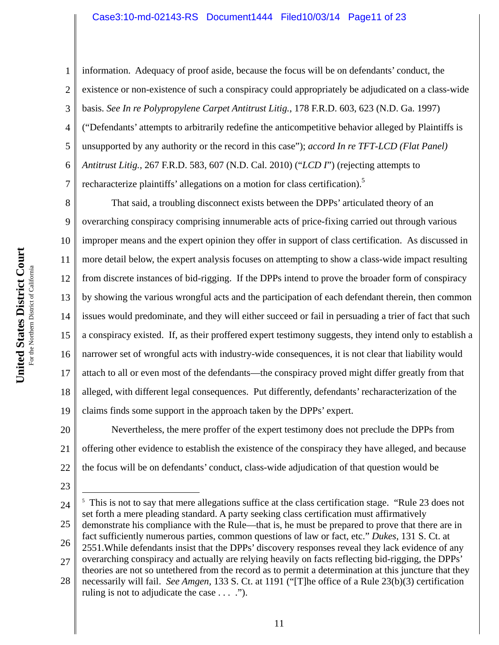2 3 4 5 6 7 information. Adequacy of proof aside, because the focus will be on defendants' conduct, the existence or non-existence of such a conspiracy could appropriately be adjudicated on a class-wide basis. *See In re Polypropylene Carpet Antitrust Litig.*, 178 F.R.D. 603, 623 (N.D. Ga. 1997) ("Defendants' attempts to arbitrarily redefine the anticompetitive behavior alleged by Plaintiffs is unsupported by any authority or the record in this case"); *accord In re TFT-LCD (Flat Panel) Antitrust Litig.,* 267 F.R.D. 583, 607 (N.D. Cal. 2010) ("*LCD I*") (rejecting attempts to recharacterize plaintiffs' allegations on a motion for class certification).<sup>5</sup>

8 9 10 11 12 13 14 15 16 17 18 19 That said, a troubling disconnect exists between the DPPs' articulated theory of an overarching conspiracy comprising innumerable acts of price-fixing carried out through various improper means and the expert opinion they offer in support of class certification. As discussed in more detail below, the expert analysis focuses on attempting to show a class-wide impact resulting from discrete instances of bid-rigging. If the DPPs intend to prove the broader form of conspiracy by showing the various wrongful acts and the participation of each defendant therein, then common issues would predominate, and they will either succeed or fail in persuading a trier of fact that such a conspiracy existed. If, as their proffered expert testimony suggests, they intend only to establish a narrower set of wrongful acts with industry-wide consequences, it is not clear that liability would attach to all or even most of the defendants—the conspiracy proved might differ greatly from that alleged, with different legal consequences. Put differently, defendants' recharacterization of the claims finds some support in the approach taken by the DPPs' expert.

20 21 22 Nevertheless, the mere proffer of the expert testimony does not preclude the DPPs from offering other evidence to establish the existence of the conspiracy they have alleged, and because the focus will be on defendants' conduct, class-wide adjudication of that question would be

23

 $\overline{a}$ 

- 24 25 26 <sup>5</sup> This is not to say that mere allegations suffice at the class certification stage. "Rule 23 does not set forth a mere pleading standard. A party seeking class certification must affirmatively demonstrate his compliance with the Rule—that is, he must be prepared to prove that there are in fact sufficiently numerous parties, common questions of law or fact, etc." *Dukes*, 131 S. Ct. at 2551.While defendants insist that the DPPs' discovery responses reveal they lack evidence of any
- 27 overarching conspiracy and actually are relying heavily on facts reflecting bid-rigging, the DPPs'
- 28 theories are not so untethered from the record as to permit a determination at this juncture that they necessarily will fail. *See Amgen,* 133 S. Ct. at 1191 ("[T]he office of a Rule 23(b)(3) certification ruling is not to adjudicate the case . . . .").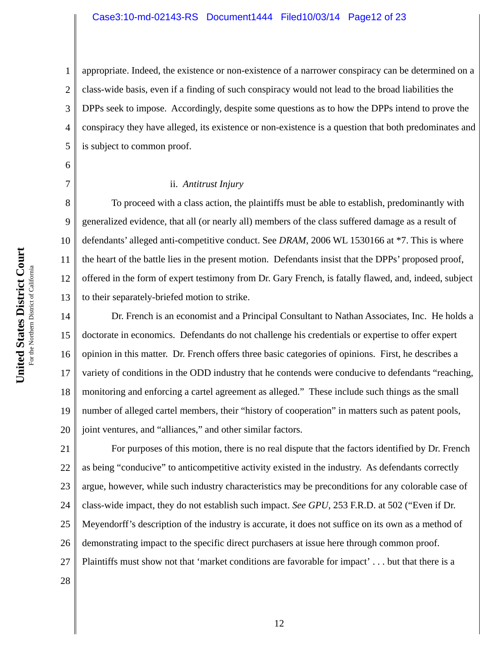1 2 3 4 5 appropriate. Indeed, the existence or non-existence of a narrower conspiracy can be determined on a class-wide basis, even if a finding of such conspiracy would not lead to the broad liabilities the DPPs seek to impose. Accordingly, despite some questions as to how the DPPs intend to prove the conspiracy they have alleged, its existence or non-existence is a question that both predominates and is subject to common proof.

6 7

11

#### ii. *Antitrust Injury*

8 9 10 12 13 To proceed with a class action, the plaintiffs must be able to establish, predominantly with generalized evidence, that all (or nearly all) members of the class suffered damage as a result of defendants' alleged anti-competitive conduct. See *DRAM*, 2006 WL 1530166 at \*7. This is where the heart of the battle lies in the present motion. Defendants insist that the DPPs' proposed proof, offered in the form of expert testimony from Dr. Gary French, is fatally flawed, and, indeed, subject to their separately-briefed motion to strike.

14 15 16 17 18 19 20 Dr. French is an economist and a Principal Consultant to Nathan Associates, Inc. He holds a doctorate in economics. Defendants do not challenge his credentials or expertise to offer expert opinion in this matter. Dr. French offers three basic categories of opinions. First, he describes a variety of conditions in the ODD industry that he contends were conducive to defendants "reaching, monitoring and enforcing a cartel agreement as alleged." These include such things as the small number of alleged cartel members, their "history of cooperation" in matters such as patent pools, joint ventures, and "alliances," and other similar factors.

21 22 23 24 25 26 27 28 For purposes of this motion, there is no real dispute that the factors identified by Dr. French as being "conducive" to anticompetitive activity existed in the industry. As defendants correctly argue, however, while such industry characteristics may be preconditions for any colorable case of class-wide impact, they do not establish such impact. *See GPU*, 253 F.R.D. at 502 ("Even if Dr. Meyendorff's description of the industry is accurate, it does not suffice on its own as a method of demonstrating impact to the specific direct purchasers at issue here through common proof. Plaintiffs must show not that 'market conditions are favorable for impact' . . . but that there is a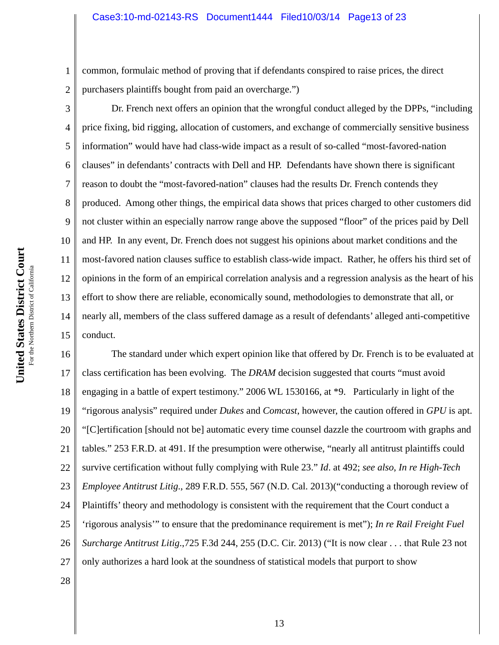common, formulaic method of proving that if defendants conspired to raise prices, the direct purchasers plaintiffs bought from paid an overcharge.")

Dr. French next offers an opinion that the wrongful conduct alleged by the DPPs, "including price fixing, bid rigging, allocation of customers, and exchange of commercially sensitive business information" would have had class-wide impact as a result of so-called "most-favored-nation clauses" in defendants' contracts with Dell and HP. Defendants have shown there is significant reason to doubt the "most-favored-nation" clauses had the results Dr. French contends they produced. Among other things, the empirical data shows that prices charged to other customers did not cluster within an especially narrow range above the supposed "floor" of the prices paid by Dell and HP. In any event, Dr. French does not suggest his opinions about market conditions and the most-favored nation clauses suffice to establish class-wide impact. Rather, he offers his third set of opinions in the form of an empirical correlation analysis and a regression analysis as the heart of his effort to show there are reliable, economically sound, methodologies to demonstrate that all, or nearly all, members of the class suffered damage as a result of defendants' alleged anti-competitive conduct.

16 17 18 19 20 21 22 23 24 25 26 27 The standard under which expert opinion like that offered by Dr. French is to be evaluated at class certification has been evolving. The *DRAM* decision suggested that courts "must avoid engaging in a battle of expert testimony." 2006 WL 1530166, at \*9. Particularly in light of the "rigorous analysis" required under *Dukes* and *Comcast*, however, the caution offered in *GPU* is apt. "[C]ertification [should not be] automatic every time counsel dazzle the courtroom with graphs and tables." 253 F.R.D. at 491. If the presumption were otherwise, "nearly all antitrust plaintiffs could survive certification without fully complying with Rule 23." *Id*. at 492; *see also*, *In re High-Tech Employee Antitrust Litig*., 289 F.R.D. 555, 567 (N.D. Cal. 2013)("conducting a thorough review of Plaintiffs' theory and methodology is consistent with the requirement that the Court conduct a 'rigorous analysis'" to ensure that the predominance requirement is met"); *In re Rail Freight Fuel Surcharge Antitrust Litig*.,725 F.3d 244, 255 (D.C. Cir. 2013) ("It is now clear . . . that Rule 23 not only authorizes a hard look at the soundness of statistical models that purport to show

1

2

3

4

5

6

7

8

9

10

11

12

13

14

15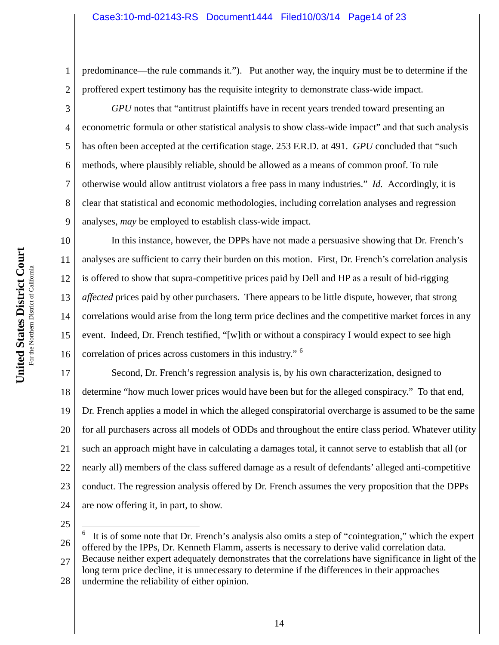1 2 predominance—the rule commands it."). Put another way, the inquiry must be to determine if the proffered expert testimony has the requisite integrity to demonstrate class-wide impact.

3

4

5

6

7

8

9

*GPU* notes that "antitrust plaintiffs have in recent years trended toward presenting an econometric formula or other statistical analysis to show class-wide impact" and that such analysis has often been accepted at the certification stage. 253 F.R.D. at 491. *GPU* concluded that "such methods, where plausibly reliable, should be allowed as a means of common proof. To rule otherwise would allow antitrust violators a free pass in many industries." *Id.* Accordingly, it is clear that statistical and economic methodologies, including correlation analyses and regression analyses, *may* be employed to establish class-wide impact.

10 11 12 13 14 15 16 In this instance, however, the DPPs have not made a persuasive showing that Dr. French's analyses are sufficient to carry their burden on this motion. First, Dr. French's correlation analysis is offered to show that supra-competitive prices paid by Dell and HP as a result of bid-rigging *affected* prices paid by other purchasers. There appears to be little dispute, however, that strong correlations would arise from the long term price declines and the competitive market forces in any event. Indeed, Dr. French testified, "[w]ith or without a conspiracy I would expect to see high correlation of prices across customers in this industry." <sup>6</sup>

17 18 19 20 21 22 23 24 Second, Dr. French's regression analysis is, by his own characterization, designed to determine "how much lower prices would have been but for the alleged conspiracy." To that end, Dr. French applies a model in which the alleged conspiratorial overcharge is assumed to be the same for all purchasers across all models of ODDs and throughout the entire class period. Whatever utility such an approach might have in calculating a damages total, it cannot serve to establish that all (or nearly all) members of the class suffered damage as a result of defendants' alleged anti-competitive conduct. The regression analysis offered by Dr. French assumes the very proposition that the DPPs are now offering it, in part, to show.

25

26  $\overline{a}$ 6 It is of some note that Dr. French's analysis also omits a step of "cointegration," which the expert offered by the IPPs, Dr. Kenneth Flamm, asserts is necessary to derive valid correlation data. Because neither expert adequately demonstrates that the correlations have significance in light of the

27 28 long term price decline, it is unnecessary to determine if the differences in their approaches undermine the reliability of either opinion.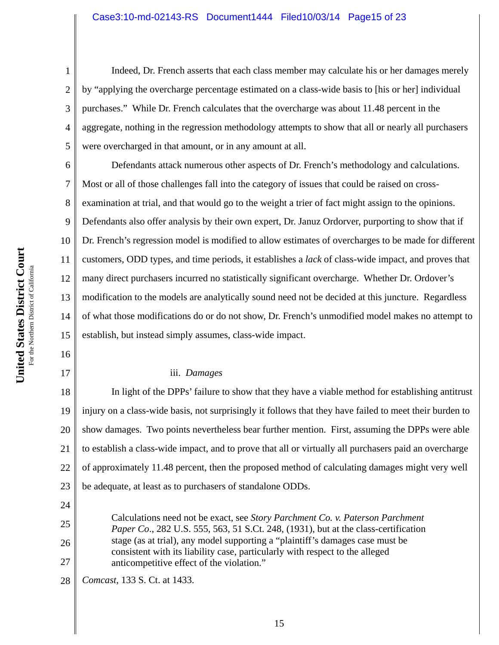Indeed, Dr. French asserts that each class member may calculate his or her damages merely by "applying the overcharge percentage estimated on a class-wide basis to [his or her] individual purchases." While Dr. French calculates that the overcharge was about 11.48 percent in the aggregate, nothing in the regression methodology attempts to show that all or nearly all purchasers were overcharged in that amount, or in any amount at all.

6 7 8 9 10 13 14 15 Defendants attack numerous other aspects of Dr. French's methodology and calculations. Most or all of those challenges fall into the category of issues that could be raised on crossexamination at trial, and that would go to the weight a trier of fact might assign to the opinions. Defendants also offer analysis by their own expert, Dr. Januz Ordorver, purporting to show that if Dr. French's regression model is modified to allow estimates of overcharges to be made for different customers, ODD types, and time periods, it establishes a *lack* of class-wide impact, and proves that many direct purchasers incurred no statistically significant overcharge. Whether Dr. Ordover's modification to the models are analytically sound need not be decided at this juncture. Regardless of what those modifications do or do not show, Dr. French's unmodified model makes no attempt to establish, but instead simply assumes, class-wide impact.

### iii. *Damages*

18 19 20 21 22 23 In light of the DPPs' failure to show that they have a viable method for establishing antitrust injury on a class-wide basis, not surprisingly it follows that they have failed to meet their burden to show damages. Two points nevertheless bear further mention. First, assuming the DPPs were able to establish a class-wide impact, and to prove that all or virtually all purchasers paid an overcharge of approximately 11.48 percent, then the proposed method of calculating damages might very well be adequate, at least as to purchasers of standalone ODDs.

Calculations need not be exact, see *Story Parchment Co. v. Paterson Parchment Paper Co*., 282 U.S. 555, 563, 51 S.Ct. 248, (1931), but at the class-certification stage (as at trial), any model supporting a "plaintiff's damages case must be consistent with its liability case, particularly with respect to the alleged anticompetitive effect of the violation."

28 *Comcast*, 133 S. Ct. at 1433.

1

2

3

4

5

11

12

16

17

24

25

26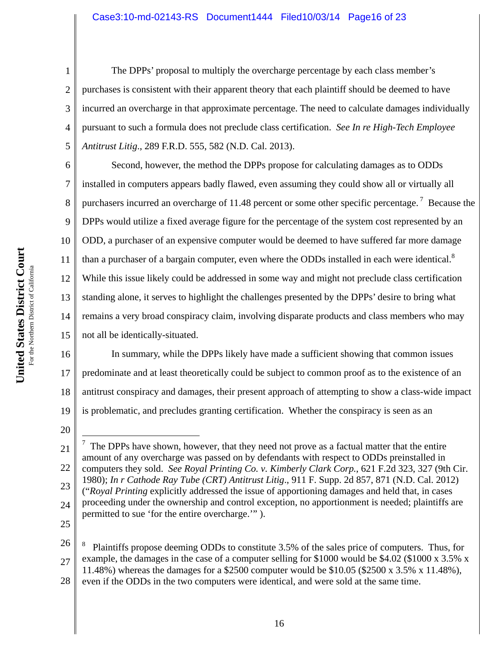The DPPs' proposal to multiply the overcharge percentage by each class member's purchases is consistent with their apparent theory that each plaintiff should be deemed to have incurred an overcharge in that approximate percentage. The need to calculate damages individually pursuant to such a formula does not preclude class certification. *See In re High-Tech Employee Antitrust Litig*., 289 F.R.D. 555, 582 (N.D. Cal. 2013).

6 7 8 9 10 11 12 13 14 15 Second, however, the method the DPPs propose for calculating damages as to ODDs installed in computers appears badly flawed, even assuming they could show all or virtually all purchasers incurred an overcharge of 11.48 percent or some other specific percentage.<sup>7</sup> Because the DPPs would utilize a fixed average figure for the percentage of the system cost represented by an ODD, a purchaser of an expensive computer would be deemed to have suffered far more damage than a purchaser of a bargain computer, even where the ODDs installed in each were identical.<sup>8</sup> While this issue likely could be addressed in some way and might not preclude class certification standing alone, it serves to highlight the challenges presented by the DPPs' desire to bring what remains a very broad conspiracy claim, involving disparate products and class members who may not all be identically-situated.

16 17 18 19 In summary, while the DPPs likely have made a sufficient showing that common issues predominate and at least theoretically could be subject to common proof as to the existence of an antitrust conspiracy and damages, their present approach of attempting to show a class-wide impact is problematic, and precludes granting certification. Whether the conspiracy is seen as an

20

 $\overline{a}$ 

1

2

3

4

5

25

26 27 28 8 Plaintiffs propose deeming ODDs to constitute 3.5% of the sales price of computers. Thus, for example, the damages in the case of a computer selling for \$1000 would be \$4.02 (\$1000 x 3.5% x 11.48%) whereas the damages for a \$2500 computer would be \$10.05 (\$2500 x 3.5% x 11.48%), even if the ODDs in the two computers were identical, and were sold at the same time.

**Court** For the Northern District of California For the Northern District of Californi **States District United** 

<sup>21</sup> 22 23 24 7 The DPPs have shown, however, that they need not prove as a factual matter that the entire amount of any overcharge was passed on by defendants with respect to ODDs preinstalled in computers they sold. *See Royal Printing Co. v. Kimberly Clark Corp.*, 621 F.2d 323, 327 (9th Cir. 1980); *In r Cathode Ray Tube (CRT) Antitrust Litig*., 911 F. Supp. 2d 857, 871 (N.D. Cal. 2012) ("*Royal Printing* explicitly addressed the issue of apportioning damages and held that, in cases proceeding under the ownership and control exception, no apportionment is needed; plaintiffs are permitted to sue 'for the entire overcharge.'" ).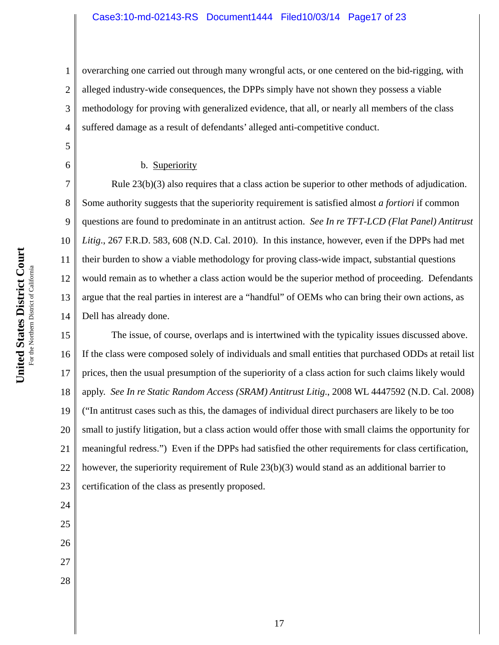1 2 3 4 overarching one carried out through many wrongful acts, or one centered on the bid-rigging, with alleged industry-wide consequences, the DPPs simply have not shown they possess a viable methodology for proving with generalized evidence, that all, or nearly all members of the class suffered damage as a result of defendants' alleged anti-competitive conduct.

#### b. Superiority

14 Rule 23(b)(3) also requires that a class action be superior to other methods of adjudication. Some authority suggests that the superiority requirement is satisfied almost *a fortiori* if common questions are found to predominate in an antitrust action. *See In re TFT-LCD (Flat Panel) Antitrust Litig*., 267 F.R.D. 583, 608 (N.D. Cal. 2010). In this instance, however, even if the DPPs had met their burden to show a viable methodology for proving class-wide impact, substantial questions would remain as to whether a class action would be the superior method of proceeding. Defendants argue that the real parties in interest are a "handful" of OEMs who can bring their own actions, as Dell has already done.

15 16 17 18 19 20 21 22 23 The issue, of course, overlaps and is intertwined with the typicality issues discussed above. If the class were composed solely of individuals and small entities that purchased ODDs at retail list prices, then the usual presumption of the superiority of a class action for such claims likely would apply. *See In re Static Random Access (SRAM) Antitrust Litig*., 2008 WL 4447592 (N.D. Cal. 2008) ("In antitrust cases such as this, the damages of individual direct purchasers are likely to be too small to justify litigation, but a class action would offer those with small claims the opportunity for meaningful redress.") Even if the DPPs had satisfied the other requirements for class certification, however, the superiority requirement of Rule 23(b)(3) would stand as an additional barrier to certification of the class as presently proposed.

For the Northern District of California For the Northern District of Californi **States District United** 

**Court**

5

6

7

8

9

10

11

12

13

24

25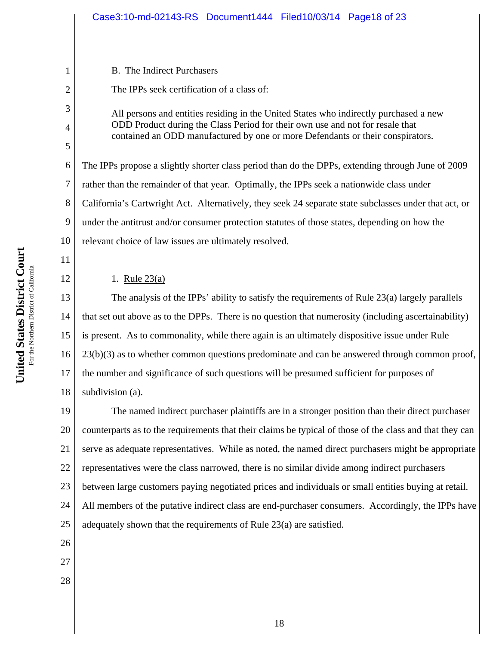## B. The Indirect Purchasers

The IPPs seek certification of a class of:

All persons and entities residing in the United States who indirectly purchased a new ODD Product during the Class Period for their own use and not for resale that contained an ODD manufactured by one or more Defendants or their conspirators.

6 7 8 9 10 The IPPs propose a slightly shorter class period than do the DPPs, extending through June of 2009 rather than the remainder of that year. Optimally, the IPPs seek a nationwide class under California's Cartwright Act. Alternatively, they seek 24 separate state subclasses under that act, or under the antitrust and/or consumer protection statutes of those states, depending on how the relevant choice of law issues are ultimately resolved.

## 1. Rule 23(a)

13 14 15 16 17 18 The analysis of the IPPs' ability to satisfy the requirements of Rule 23(a) largely parallels that set out above as to the DPPs. There is no question that numerosity (including ascertainability) is present. As to commonality, while there again is an ultimately dispositive issue under Rule 23(b)(3) as to whether common questions predominate and can be answered through common proof, the number and significance of such questions will be presumed sufficient for purposes of subdivision (a).

19 20 21 22 23 24 25 The named indirect purchaser plaintiffs are in a stronger position than their direct purchaser counterparts as to the requirements that their claims be typical of those of the class and that they can serve as adequate representatives. While as noted, the named direct purchasers might be appropriate representatives were the class narrowed, there is no similar divide among indirect purchasers between large customers paying negotiated prices and individuals or small entities buying at retail. All members of the putative indirect class are end-purchaser consumers. Accordingly, the IPPs have adequately shown that the requirements of Rule 23(a) are satisfied.

- 26
- 27
- 28

1

2

3

4

5

11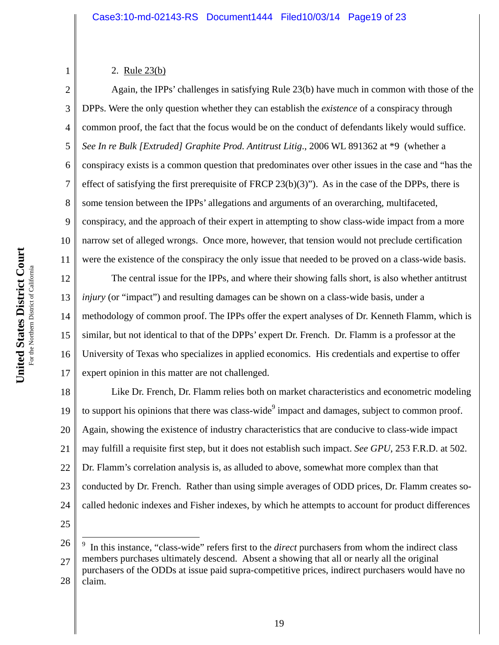## 2. Rule 23(b)

1

2 3 4 5 6 7 8 9 10 11 Again, the IPPs' challenges in satisfying Rule 23(b) have much in common with those of the DPPs. Were the only question whether they can establish the *existence* of a conspiracy through common proof, the fact that the focus would be on the conduct of defendants likely would suffice. *See In re Bulk [Extruded] Graphite Prod. Antitrust Litig*., 2006 WL 891362 at \*9 (whether a conspiracy exists is a common question that predominates over other issues in the case and "has the effect of satisfying the first prerequisite of FRCP 23(b)(3)"). As in the case of the DPPs, there is some tension between the IPPs' allegations and arguments of an overarching, multifaceted, conspiracy, and the approach of their expert in attempting to show class-wide impact from a more narrow set of alleged wrongs. Once more, however, that tension would not preclude certification were the existence of the conspiracy the only issue that needed to be proved on a class-wide basis.

12 13 14 15 16 17 The central issue for the IPPs, and where their showing falls short, is also whether antitrust *injury* (or "impact") and resulting damages can be shown on a class-wide basis, under a methodology of common proof. The IPPs offer the expert analyses of Dr. Kenneth Flamm, which is similar, but not identical to that of the DPPs' expert Dr. French. Dr. Flamm is a professor at the University of Texas who specializes in applied economics. His credentials and expertise to offer expert opinion in this matter are not challenged.

18 19 20 21 22 23 24 Like Dr. French, Dr. Flamm relies both on market characteristics and econometric modeling to support his opinions that there was class-wide $\degree$  impact and damages, subject to common proof. Again, showing the existence of industry characteristics that are conducive to class-wide impact may fulfill a requisite first step, but it does not establish such impact. *See GPU*, 253 F.R.D. at 502. Dr. Flamm's correlation analysis is, as alluded to above, somewhat more complex than that conducted by Dr. French. Rather than using simple averages of ODD prices, Dr. Flamm creates socalled hedonic indexes and Fisher indexes, by which he attempts to account for product differences

25

 $\overline{a}$ 

<sup>26</sup> 27 28 9 In this instance, "class-wide" refers first to the *direct* purchasers from whom the indirect class members purchases ultimately descend. Absent a showing that all or nearly all the original purchasers of the ODDs at issue paid supra-competitive prices, indirect purchasers would have no claim.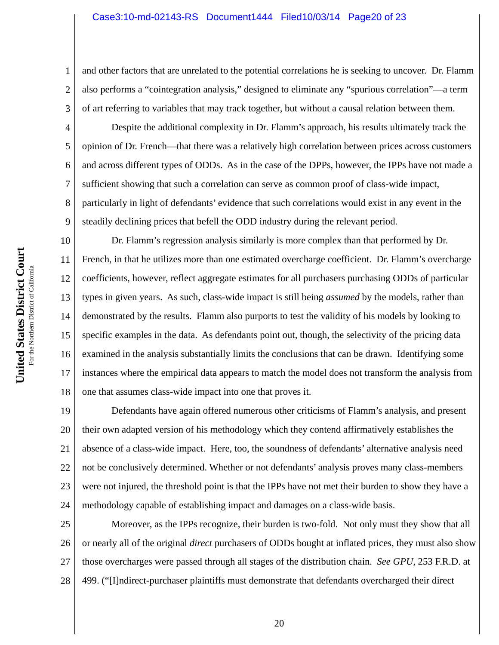and other factors that are unrelated to the potential correlations he is seeking to uncover. Dr. Flamm also performs a "cointegration analysis," designed to eliminate any "spurious correlation"—a term of art referring to variables that may track together, but without a causal relation between them.

Despite the additional complexity in Dr. Flamm's approach, his results ultimately track the opinion of Dr. French—that there was a relatively high correlation between prices across customers and across different types of ODDs. As in the case of the DPPs, however, the IPPs have not made a sufficient showing that such a correlation can serve as common proof of class-wide impact, particularly in light of defendants' evidence that such correlations would exist in any event in the steadily declining prices that befell the ODD industry during the relevant period.

10 11 12 13 14 15 16 17 18 Dr. Flamm's regression analysis similarly is more complex than that performed by Dr. French, in that he utilizes more than one estimated overcharge coefficient. Dr. Flamm's overcharge coefficients, however, reflect aggregate estimates for all purchasers purchasing ODDs of particular types in given years. As such, class-wide impact is still being *assumed* by the models, rather than demonstrated by the results. Flamm also purports to test the validity of his models by looking to specific examples in the data. As defendants point out, though, the selectivity of the pricing data examined in the analysis substantially limits the conclusions that can be drawn. Identifying some instances where the empirical data appears to match the model does not transform the analysis from one that assumes class-wide impact into one that proves it.

19 20 21 22 23 24 Defendants have again offered numerous other criticisms of Flamm's analysis, and present their own adapted version of his methodology which they contend affirmatively establishes the absence of a class-wide impact. Here, too, the soundness of defendants' alternative analysis need not be conclusively determined. Whether or not defendants' analysis proves many class-members were not injured, the threshold point is that the IPPs have not met their burden to show they have a methodology capable of establishing impact and damages on a class-wide basis.

25 26 27 28 Moreover, as the IPPs recognize, their burden is two-fold. Not only must they show that all or nearly all of the original *direct* purchasers of ODDs bought at inflated prices, they must also show those overcharges were passed through all stages of the distribution chain. *See GPU*, 253 F.R.D. at 499. ("[I]ndirect-purchaser plaintiffs must demonstrate that defendants overcharged their direct

1

2

3

4

5

6

7

8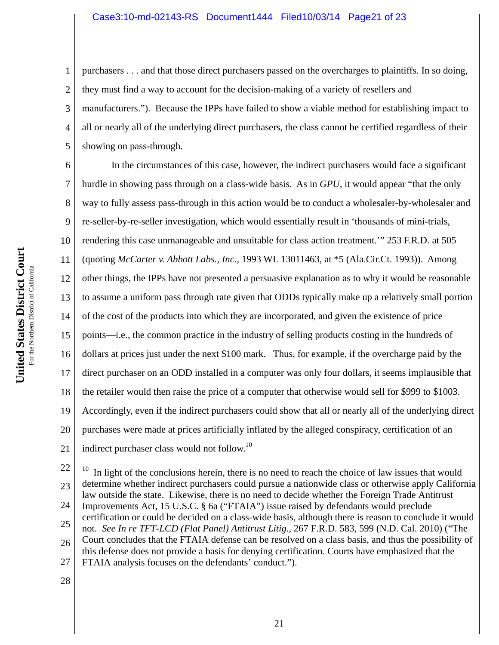1 2 3 4 5 purchasers . . . and that those direct purchasers passed on the overcharges to plaintiffs. In so doing, they must find a way to account for the decision-making of a variety of resellers and manufacturers."). Because the IPPs have failed to show a viable method for establishing impact to all or nearly all of the underlying direct purchasers, the class cannot be certified regardless of their showing on pass-through.

6 7 8 9 10 11 12 13 14 15 16 17 18 19 20 21 In the circumstances of this case, however, the indirect purchasers would face a significant hurdle in showing pass through on a class-wide basis. As in *GPU*, it would appear "that the only way to fully assess pass-through in this action would be to conduct a wholesaler-by-wholesaler and re-seller-by-re-seller investigation, which would essentially result in 'thousands of mini-trials, rendering this case unmanageable and unsuitable for class action treatment.'" 253 F.R.D. at 505 (quoting *McCarter v. Abbott Labs., Inc*., 1993 WL 13011463, at \*5 (Ala.Cir.Ct. 1993)). Among other things, the IPPs have not presented a persuasive explanation as to why it would be reasonable to assume a uniform pass through rate given that ODDs typically make up a relatively small portion of the cost of the products into which they are incorporated, and given the existence of price points—i.e., the common practice in the industry of selling products costing in the hundreds of dollars at prices just under the next \$100 mark. Thus, for example, if the overcharge paid by the direct purchaser on an ODD installed in a computer was only four dollars, it seems implausible that the retailer would then raise the price of a computer that otherwise would sell for \$999 to \$1003. Accordingly, even if the indirect purchasers could show that all or nearly all of the underlying direct purchases were made at prices artificially inflated by the alleged conspiracy, certification of an indirect purchaser class would not follow.<sup>10</sup>

<sup>22</sup> 23 24 25 26 27  $10\,$ In light of the conclusions herein, there is no need to reach the choice of law issues that would determine whether indirect purchasers could pursue a nationwide class or otherwise apply California law outside the state. Likewise, there is no need to decide whether the Foreign Trade Antitrust Improvements Act, 15 U.S.C. § 6a ("FTAIA") issue raised by defendants would preclude certification or could be decided on a class-wide basis, although there is reason to conclude it would not. *See In re TFT-LCD (Flat Panel) Antitrust Litig.,* 267 F.R.D. 583, 599 (N.D. Cal. 2010) ("The Court concludes that the FTAIA defense can be resolved on a class basis, and thus the possibility of this defense does not provide a basis for denying certification. Courts have emphasized that the FTAIA analysis focuses on the defendants' conduct.").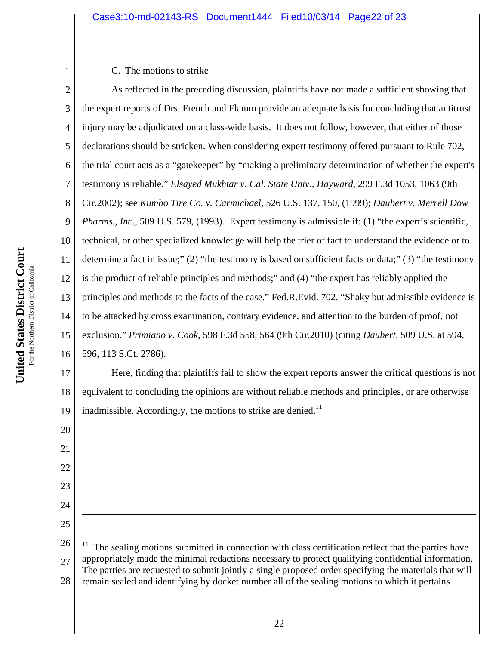## C. The motions to strike

2 3 4 5 6 7 8 9 10 11 12 13 14 15 16 As reflected in the preceding discussion, plaintiffs have not made a sufficient showing that the expert reports of Drs. French and Flamm provide an adequate basis for concluding that antitrust injury may be adjudicated on a class-wide basis. It does not follow, however, that either of those declarations should be stricken. When considering expert testimony offered pursuant to Rule 702, the trial court acts as a "gatekeeper" by "making a preliminary determination of whether the expert's testimony is reliable." *Elsayed Mukhtar v. Cal. State Univ., Hayward*, 299 F.3d 1053, 1063 (9th Cir.2002); see *Kumho Tire Co. v. Carmichael*, 526 U.S. 137, 150, (1999); *Daubert v. Merrell Dow Pharms., Inc.*, 509 U.S. 579, (1993). Expert testimony is admissible if: (1) "the expert's scientific, technical, or other specialized knowledge will help the trier of fact to understand the evidence or to determine a fact in issue;" (2) "the testimony is based on sufficient facts or data;" (3) "the testimony is the product of reliable principles and methods;" and (4) "the expert has reliably applied the principles and methods to the facts of the case." Fed.R.Evid. 702. "Shaky but admissible evidence is to be attacked by cross examination, contrary evidence, and attention to the burden of proof, not exclusion." *Primiano v. Cook*, 598 F.3d 558, 564 (9th Cir.2010) (citing *Daubert*, 509 U.S. at 594, 596, 113 S.Ct. 2786).

17 18 19 Here, finding that plaintiffs fail to show the expert reports answer the critical questions is not equivalent to concluding the opinions are without reliable methods and principles, or are otherwise inadmissible. Accordingly, the motions to strike are denied. $11$ 

26 27 28  $11$  The sealing motions submitted in connection with class certification reflect that the parties have appropriately made the minimal redactions necessary to protect qualifying confidential information. The parties are requested to submit jointly a single proposed order specifying the materials that will remain sealed and identifying by docket number all of the sealing motions to which it pertains.

20

21

22

23

24

 $\overline{a}$ 

25